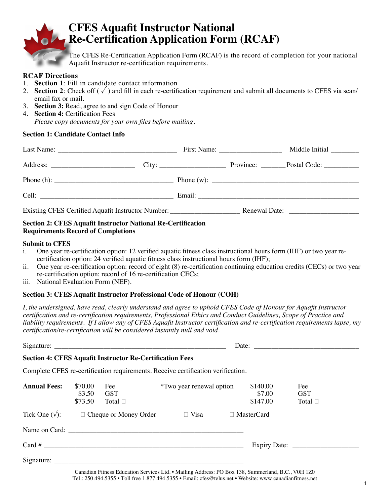

# **CFES Aquafit Instructor National Re-Certification Application Form (RCAF)**

The CFES Re-Certification Application Form (RCAF) is the record of completion for your national Aquafit Instructor re-certification requirements.

#### **RCAF Directions**

- 1. **Section 1**: Fill in candidate contact information
- 2. **Section 2**: Check off  $(\sqrt{\ })$  and fill in each re-certification requirement and submit all documents to CFES via scan/ email fax or mail.
- 3. **Section 3:** Read, agree to and sign Code of Honour
- 4. **Section 4:** Certification Fees *Please copy documents for your own files before mailing.*

#### **Section 1: Candidate Contact Info**

|                      |  | First Name: $\frac{1}{2}$ | Middle Initial         |
|----------------------|--|---------------------------|------------------------|
|                      |  |                           | Province: Postal Code: |
|                      |  |                           |                        |
| Cell: <u>Celling</u> |  |                           |                        |
|                      |  |                           |                        |

#### **Section 2: CFES Aquafit Instructor National Re-Certification Requirements Record of Completions**

#### **Submit to CFES**

- i. One year re-certification option: 12 verified aquatic fitness class instructional hours form (IHF) or two year recertification option: 24 verified aquatic fitness class instructional hours form (IHF);
- ii. One year re-certification option: record of eight (8) re-certification continuing education credits (CECs) or two year re-certification option: record of 16 re-certification CECs;
- iii. National Evaluation Form (NEF).

#### **Section 3: CFES Aquafit Instructor Professional Code of Honour (COH)**

*I, the undersigned, have read, clearly understand and agree to uphold CFES Code of Honour for Aquafit Instructor certification and re-certification requirements, Professional Ethics and Conduct Guidelines, Scope of Practice and liability requirements. If I allow any of CFES Aquafit Instructor certification and re-certification requirements lapse, my certification/re-certification will be considered instantly null and void.* 

|                     |                              | <b>Section 4: CFES Aquafit Instructor Re-Certification Fees</b> |                                                                                  |                                |                                   |  |
|---------------------|------------------------------|-----------------------------------------------------------------|----------------------------------------------------------------------------------|--------------------------------|-----------------------------------|--|
|                     |                              |                                                                 | Complete CFES re-certification requirements. Receive certification verification. |                                |                                   |  |
| <b>Annual Fees:</b> | \$70.00<br>\$3.50<br>\$73.50 | Fee<br><b>GST</b><br>Total $\Box$                               | <i>*Two year renewal option</i>                                                  | \$140.00<br>\$7.00<br>\$147.00 | Fee<br><b>GST</b><br>Total $\Box$ |  |
|                     |                              | Tick One $(\sqrt{\ }):$ $\Box$ Cheque or Money Order            | $\Box$ Visa                                                                      | $\Box$ MasterCard              |                                   |  |
|                     |                              |                                                                 |                                                                                  |                                |                                   |  |
|                     |                              |                                                                 |                                                                                  |                                |                                   |  |
|                     |                              |                                                                 |                                                                                  |                                |                                   |  |

Canadian Fitness Education Services Ltd. • Mailing Address: PO Box 138, Summerland, B.C., V0H 1Z0 Tel.: 250.494.5355 • Toll free 1.877.494.5355 • Email: cfes@telus.net • Website: www.canadianfitness.net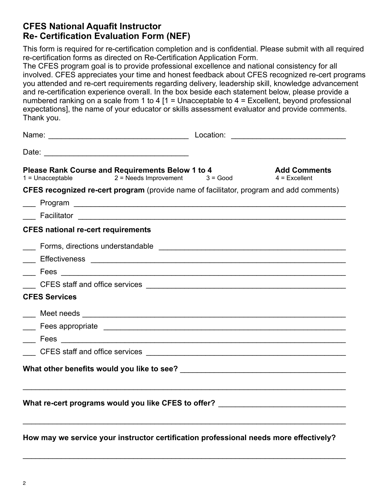# **CFES National Aquafit Instructor Re- Certification Evaluation Form (NEF)**

This form is required for re-certification completion and is confidential. Please submit with all required re-certification forms as directed on Re-Certification Application Form.

The CFES program goal is to provide professional excellence and national consistency for all involved. CFES appreciates your time and honest feedback about CFES recognized re-cert programs you attended and re-cert requirements regarding delivery, leadership skill, knowledge advancement and re-certification experience overall. In the box beside each statement below, please provide a numbered ranking on a scale from 1 to 4  $[1 =$  Unacceptable to 4 = Excellent, beyond professional expectations], the name of your educator or skills assessment evaluator and provide comments. Thank you.

| Please Rank Course and Requirements Below 1 to 4<br>$2 = N$ eeds Improvement $3 = Good$<br>$1 =$ Unacceptable                                                                                                                       |  | <b>Add Comments</b><br>$4$ = Excellent |  |  |  |  |
|-------------------------------------------------------------------------------------------------------------------------------------------------------------------------------------------------------------------------------------|--|----------------------------------------|--|--|--|--|
| <b>CFES recognized re-cert program</b> (provide name of facilitator, program and add comments)                                                                                                                                      |  |                                        |  |  |  |  |
|                                                                                                                                                                                                                                     |  |                                        |  |  |  |  |
|                                                                                                                                                                                                                                     |  |                                        |  |  |  |  |
| <b>CFES national re-cert requirements</b>                                                                                                                                                                                           |  |                                        |  |  |  |  |
|                                                                                                                                                                                                                                     |  |                                        |  |  |  |  |
|                                                                                                                                                                                                                                     |  |                                        |  |  |  |  |
|                                                                                                                                                                                                                                     |  |                                        |  |  |  |  |
|                                                                                                                                                                                                                                     |  |                                        |  |  |  |  |
| <b>CFES Services</b>                                                                                                                                                                                                                |  |                                        |  |  |  |  |
|                                                                                                                                                                                                                                     |  |                                        |  |  |  |  |
|                                                                                                                                                                                                                                     |  |                                        |  |  |  |  |
|                                                                                                                                                                                                                                     |  |                                        |  |  |  |  |
| CFES staff and office services <u>example and a service</u> of the service of the service of the service of the service of the service of the service of the service of the service of the service of the service of the service of |  |                                        |  |  |  |  |
|                                                                                                                                                                                                                                     |  |                                        |  |  |  |  |
|                                                                                                                                                                                                                                     |  |                                        |  |  |  |  |
| What re-cert programs would you like CFES to offer? ____________________________                                                                                                                                                    |  |                                        |  |  |  |  |
|                                                                                                                                                                                                                                     |  |                                        |  |  |  |  |
|                                                                                                                                                                                                                                     |  |                                        |  |  |  |  |

**How may we service your instructor certification professional needs more effectively?** 

 $\mathcal{L}_\text{max}$  , and the contribution of the contribution of the contribution of the contribution of the contribution of the contribution of the contribution of the contribution of the contribution of the contribution of t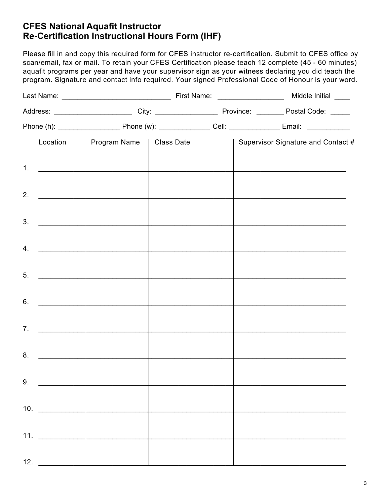# **CFES National Aquafit Instructor Re-Certification Instructional Hours Form (IHF)**

Please fill in and copy this required form for CFES instructor re-certification. Submit to CFES office by scan/email, fax or mail. To retain your CFES Certification please teach 12 complete (45 - 60 minutes) aquafit programs per year and have your supervisor sign as your witness declaring you did teach the program. Signature and contact info required. Your signed Professional Code of Honour is your word.

|    |                      | Location   Program Name   Class Date         |  |  |  | Supervisor Signature and Contact #                                                                                                                                                                                            |  |
|----|----------------------|----------------------------------------------|--|--|--|-------------------------------------------------------------------------------------------------------------------------------------------------------------------------------------------------------------------------------|--|
|    |                      | 1. $\qquad \qquad$                           |  |  |  | <u> 1980 - Johann Stoff, fransk politik (f. 1980)</u>                                                                                                                                                                         |  |
|    | 2. $\qquad \qquad$   | <u> 1989 - Johann Barbara, martxa al</u>     |  |  |  | the control of the control of the control of the control of the control of the control of the control of the control of the control of the control of the control of the control of the control of the control of the control |  |
| 3. |                      |                                              |  |  |  |                                                                                                                                                                                                                               |  |
|    |                      |                                              |  |  |  |                                                                                                                                                                                                                               |  |
|    | $4.$ $\qquad \qquad$ |                                              |  |  |  |                                                                                                                                                                                                                               |  |
|    | 5.                   |                                              |  |  |  |                                                                                                                                                                                                                               |  |
|    | 6.                   |                                              |  |  |  | the control of the control of the control of the control of the control of the control of                                                                                                                                     |  |
|    | $7.$ $\qquad \qquad$ |                                              |  |  |  |                                                                                                                                                                                                                               |  |
|    |                      | the control of the control of the control of |  |  |  |                                                                                                                                                                                                                               |  |
|    | 9.                   |                                              |  |  |  |                                                                                                                                                                                                                               |  |
|    |                      |                                              |  |  |  |                                                                                                                                                                                                                               |  |
|    |                      | 10. $\qquad \qquad$                          |  |  |  |                                                                                                                                                                                                                               |  |
|    | 11. $\qquad \qquad$  |                                              |  |  |  |                                                                                                                                                                                                                               |  |
|    | 12.                  |                                              |  |  |  |                                                                                                                                                                                                                               |  |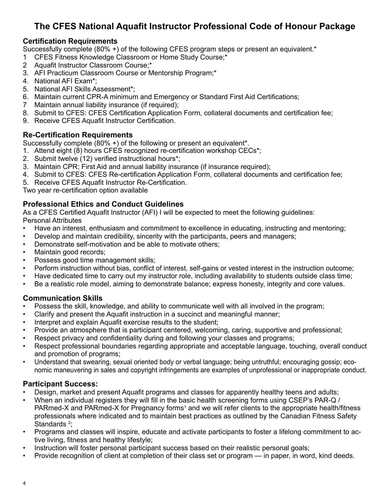# **The CFES National Aquafit Instructor Professional Code of Honour Package**

# **Certification Requirements**

Successfully complete (80% +) of the following CFES program steps or present an equivalent.\*

- 1 CFES Fitness Knowledge Classroom or Home Study Course;\*
- 2 Aquafit Instructor Classroom Course;\*
- 3. AFI Practicum Classroom Course or Mentorship Program;\*
- 4. National AFI Exam\*;
- 5. National AFI Skills Assessment\*;
- 6. Maintain current CPR-A minimum and Emergency or Standard First Aid Certifications;
- 7 Maintain annual liability insurance (if required);
- 8. Submit to CFES: CFES Certification Application Form, collateral documents and certification fee;
- 9. Receive CFES Aquafit Instructor Certification.

### **Re-Certification Requirements**

Successfully complete (80% +) of the following or present an equivalent\*.

- 1. Attend eight (8) hours CFES recognized re-certification workshop CECs\*;
- 2. Submit twelve (12) verified instructional hours\*;
- 3. Maintain CPR; First Aid and annual liability insurance (if insurance required);
- 4. Submit to CFES: CFES Re-certification Application Form, collateral documents and certification fee;
- 5. Receive CFES Aquafit Instructor Re-Certification.

Two year re-certification option available

## **Professional Ethics and Conduct Guidelines**

As a CFES Certified Aquafit Instructor (AFI) I will be expected to meet the following guidelines: Personal Attributes

- Have an interest, enthusiasm and commitment to excellence in educating, instructing and mentoring;
- Develop and maintain credibility, sincerity with the participants, peers and managers;
- Demonstrate self-motivation and be able to motivate others;
- Maintain good records;
- Possess good time management skills;
- Perform instruction without bias, conflict of interest, self-gains or vested interest in the instruction outcome;
- Have dedicated time to carry out my instructor role, including availability to students outside class time;
- Be a realistic role model, aiming to demonstrate balance; express honesty, integrity and core values.

## **Communication Skills**

- Possess the skill, knowledge, and ability to communicate well with all involved in the program;
- Clarify and present the Aquafit instruction in a succinct and meaningful manner;
- Interpret and explain Aquafit exercise results to the student;
- Provide an atmosphere that is participant centered, welcoming, caring, supportive and professional;
- Respect privacy and confidentiality during and following your classes and programs;
- Respect professional boundaries regarding appropriate and acceptable language, touching, overall conduct and promotion of programs;
- Understand that swearing, sexual oriented body or verbal language; being untruthful; encouraging gossip; economic maneuvering in sales and copyright infringements are examples of unprofessional or inappropriate conduct.

## **Participant Success:**

- Design, market and present Aquafit programs and classes for apparently healthy teens and adults;
- When an individual registers they will fill in the basic health screening forms using CSEP's PAR-Q / PARmed-X and PARmed-X for Pregnancy forms<sup>1</sup> and we will refer clients to the appropriate health/fitness professionals where indicated and to maintain best practices as outlined by the Canadian Fitness Safety Standards <sup>2</sup>;
- Programs and classes will inspire, educate and activate participants to foster a lifelong commitment to active living, fitness and healthy lifestyle;
- Instruction will foster personal participant success based on their realistic personal goals;
- Provide recognition of client at completion of their class set or program in paper, in word, kind deeds.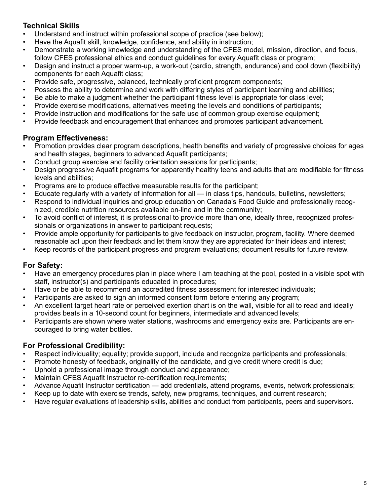# **Technical Skills**

- Understand and instruct within professional scope of practice (see below);
- Have the Aquafit skill, knowledge, confidence, and ability in instruction;
- Demonstrate a working knowledge and understanding of the CFES model, mission, direction, and focus, follow CFES professional ethics and conduct guidelines for every Aquafit class or program;
- Design and instruct a proper warm-up, a work-out (cardio, strength, endurance) and cool down (flexibility) components for each Aquafit class;
- Provide safe, progressive, balanced, technically proficient program components;
- Possess the ability to determine and work with differing styles of participant learning and abilities;
- Be able to make a judgment whether the participant fitness level is appropriate for class level;
- Provide exercise modifications, alternatives meeting the levels and conditions of participants;
- Provide instruction and modifications for the safe use of common group exercise equipment;
- Provide feedback and encouragement that enhances and promotes participant advancement.

# **Program Effectiveness:**

- Promotion provides clear program descriptions, health benefits and variety of progressive choices for ages and health stages, beginners to advanced Aquafit participants;
- Conduct group exercise and facility orientation sessions for participants;
- Design progressive Aquafit programs for apparently healthy teens and adults that are modifiable for fitness levels and abilities;
- Programs are to produce effective measurable results for the participant;
- Educate regularly with a variety of information for all in class tips, handouts, bulletins, newsletters;
- Respond to individual inquiries and group education on Canada's Food Guide and professionally recognized, credible nutrition resources available on-line and in the community;
- To avoid conflict of interest, it is professional to provide more than one, ideally three, recognized professionals or organizations in answer to participant requests;
- Provide ample opportunity for participants to give feedback on instructor, program, facility. Where deemed reasonable act upon their feedback and let them know they are appreciated for their ideas and interest;
- Keep records of the participant progress and program evaluations; document results for future review.

# **For Safety:**

- Have an emergency procedures plan in place where I am teaching at the pool, posted in a visible spot with staff, instructor(s) and participants educated in procedures;
- Have or be able to recommend an accredited fitness assessment for interested individuals;
- Participants are asked to sign an informed consent form before entering any program;
- An excellent target heart rate or perceived exertion chart is on the wall, visible for all to read and ideally provides beats in a 10-second count for beginners, intermediate and advanced levels;
- Participants are shown where water stations, washrooms and emergency exits are. Participants are encouraged to bring water bottles.

# **For Professional Credibility:**

- Respect individuality; equality; provide support, include and recognize participants and professionals;
- Promote honesty of feedback, originality of the candidate, and give credit where credit is due;
- Uphold a professional image through conduct and appearance;
- Maintain CFES Aquafit Instructor re-certification requirements;
- Advance Aquafit Instructor certification add credentials, attend programs, events, network professionals;
- Keep up to date with exercise trends, safety, new programs, techniques, and current research;
- Have regular evaluations of leadership skills, abilities and conduct from participants, peers and supervisors.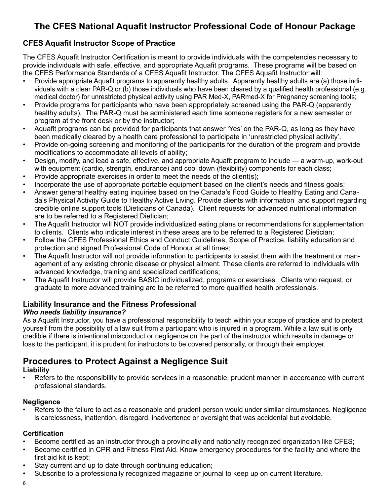# **The CFES National Aquafit Instructor Professional Code of Honour Package**

# **CFES Aquafit Instructor Scope of Practice**

The CFES Aquafit Instructor Certification is meant to provide individuals with the competencies necessary to provide individuals with safe, effective, and appropriate Aquafit programs. These programs will be based on the CFES Performance Standards of a CFES Aquafit Instructor. The CFES Aquafit Instructor will:

- Provide appropriate Aquafit programs to apparently healthy adults. Apparently healthy adults are (a) those individuals with a clear PAR-Q or (b) those individuals who have been cleared by a qualified health professional (e.g. medical doctor) for unrestricted physical activity using PAR Med-X, PARmed-X for Pregnancy screening tools;
- Provide programs for participants who have been appropriately screened using the PAR-Q (apparently healthy adults). The PAR-Q must be administered each time someone registers for a new semester or program at the front desk or by the instructor;
- Aquafit programs can be provided for participants that answer 'Yes' on the PAR-Q, as long as they have been medically cleared by a health care professional to participate in 'unrestricted physical activity'.
- Provide on-going screening and monitoring of the participants for the duration of the program and provide modifications to accommodate all levels of ability;
- Design, modify, and lead a safe, effective, and appropriate Aquafit program to include a warm-up, work-out with equipment (cardio, strength, endurance) and cool down (flexibility) components for each class;
- Provide appropriate exercises in order to meet the needs of the client(s);
- Incorporate the use of appropriate portable equipment based on the client's needs and fitness goals;
- Answer general healthy eating inquiries based on the Canada's Food Guide to Healthy Eating and Canada's Physical Activity Guide to Healthy Active Living. Provide clients with information and support regarding credible online support tools (Dieticians of Canada). Client requests for advanced nutritional information are to be referred to a Registered Dietician;
- The Aquafit Instructor will NOT provide individualized eating plans or recommendations for supplementation to clients. Clients who indicate interest in these areas are to be referred to a Registered Dietician;
- Follow the CFES Professional Ethics and Conduct Guidelines, Scope of Practice, liability education and protection and signed Professional Code of Honour at all times;
- The Aquafit Instructor will not provide information to participants to assist them with the treatment or management of any existing chronic disease or physical ailment. These clients are referred to individuals with advanced knowledge, training and specialized certifications;
- The Aquafit Instructor will provide BASIC individualized, programs or exercises. Clients who request, or graduate to more advanced training are to be referred to more qualified health professionals.

# **Liability Insurance and the Fitness Professional**

## *Who needs liability insurance?*

As a Aquafit Instructor, you have a professional responsibility to teach within your scope of practice and to protect yourself from the possibility of a law suit from a participant who is injured in a program. While a law suit is only credible if there is intentional misconduct or negligence on the part of the instructor which results in damage or loss to the participant, it is prudent for instructors to be covered personally, or through their employer.

# **Procedures to Protect Against a Negligence Suit**

## **Liability**

Refers to the responsibility to provide services in a reasonable, prudent manner in accordance with current professional standards.

## **Negligence**

• Refers to the failure to act as a reasonable and prudent person would under similar circumstances. Negligence is carelessness, inattention, disregard, inadvertence or oversight that was accidental but avoidable.

## **Certification**

- Become certified as an instructor through a provincially and nationally recognized organization like CFES;
- Become certified in CPR and Fitness First Aid. Know emergency procedures for the facility and where the first aid kit is kept;
- Stay current and up to date through continuing education;
- Subscribe to a professionally recognized magazine or journal to keep up on current literature.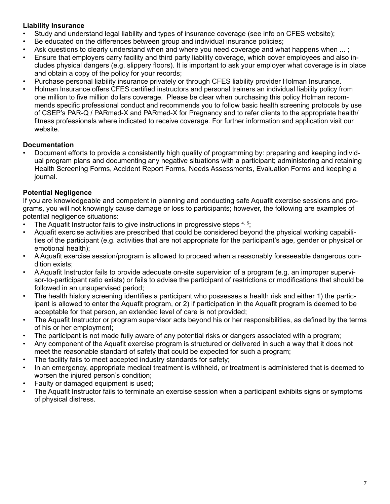### **Liability Insurance**

- Study and understand legal liability and types of insurance coverage (see info on CFES website);
- Be educated on the differences between group and individual insurance policies;
- Ask questions to clearly understand when and where you need coverage and what happens when ... ;
- Ensure that employers carry facility and third party liability coverage, which cover employees and also includes physical dangers (e.g. slippery floors). It is important to ask your employer what coverage is in place and obtain a copy of the policy for your records;
- Purchase personal liability insurance privately or through CFES liability provider Holman Insurance.
- Holman Insurance offers CFES certified instructors and personal trainers an individual liability policy from one million to five million dollars coverage. Please be clear when purchasing this policy Holman recommends specific professional conduct and recommends you to follow basic health screening protocols by use of CSEP's PAR-Q / PARmed-X and PARmed-X for Pregnancy and to refer clients to the appropriate health/ fitness professionals where indicated to receive coverage. For further information and application visit our website.

### **Documentation**

• Document efforts to provide a consistently high quality of programming by: preparing and keeping individual program plans and documenting any negative situations with a participant; administering and retaining Health Screening Forms, Accident Report Forms, Needs Assessments, Evaluation Forms and keeping a journal.

## **Potential Negligence**

If you are knowledgeable and competent in planning and conducting safe Aquafit exercise sessions and programs, you will not knowingly cause damage or loss to participants; however, the following are examples of potential negligence situations:

- The Aquafit Instructor fails to give instructions in progressive steps  $4, 5$ ;
- Aquafit exercise activities are prescribed that could be considered beyond the physical working capabilities of the participant (e.g. activities that are not appropriate for the participant's age, gender or physical or emotional health);
- A Aquafit exercise session/program is allowed to proceed when a reasonably foreseeable dangerous condition exists;
- A Aquafit Instructor fails to provide adequate on-site supervision of a program (e.g. an improper supervisor-to-participant ratio exists) or fails to advise the participant of restrictions or modifications that should be followed in an unsupervised period;
- The health history screening identifies a participant who possesses a health risk and either 1) the participant is allowed to enter the Aquafit program, or 2) if participation in the Aquafit program is deemed to be acceptable for that person, an extended level of care is not provided;
- The Aquafit Instructor or program supervisor acts beyond his or her responsibilities, as defined by the terms of his or her employment;
- The participant is not made fully aware of any potential risks or dangers associated with a program;
- Any component of the Aquafit exercise program is structured or delivered in such a way that it does not meet the reasonable standard of safety that could be expected for such a program;
- The facility fails to meet accepted industry standards for safety;
- In an emergency, appropriate medical treatment is withheld, or treatment is administered that is deemed to worsen the injured person's condition;
- Faulty or damaged equipment is used;
- The Aquafit Instructor fails to terminate an exercise session when a participant exhibits signs or symptoms of physical distress.